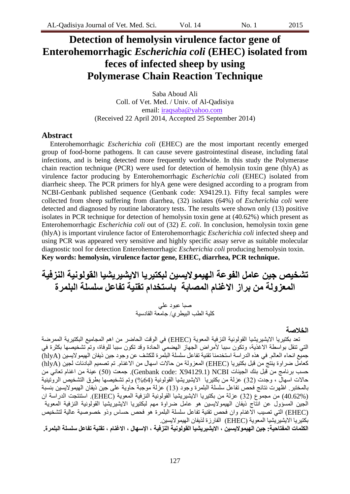# **Detection of hemolysin virulence factor gene of Enterohemorrhagic** *Escherichia coli* **(EHEC) isolated from feces of infected sheep by using Polymerase Chain Reaction Technique**

Saba Aboud Ali Coll. of Vet. Med. / Univ. of Al-Qadisiya email: [iraqsaba@yahoo.com](mailto:iraqsaba@yahoo.com) (Received 22 April 2014, Accepted 25 September 2014)

#### **Abstract**

Enterohemorrhagic *Escherichia coli* (EHEC) are the most important recently emerged group of food-borne pathogens. It can cause severe gastrointestinal disease, including fatal infections, and is being detected more frequently worldwide. In this study the Polymerase chain reaction technique (PCR) were used for detection of hemolysin toxin gene (hlyA) as virulence factor producing by Enterohemorrhagic *Escherichia coli* (EHEC) isolated from diarrheic sheep. The PCR primers for hlyA gene were designed according to a program from NCBI-Genbank published sequence (Genbank code: X94129.1). Fifty fecal samples were collected from sheep suffering from diarrhea, (32) isolates (64%) of *Escherichia coli* were detected and diagnosed by routine laboratory tests. The results were shown only (13) positive isolates in PCR technique for detection of hemolysin toxin gene at (40.62%) which present as Enterohemorrhagic *Escherichia coli* out of (32) *E. coli*. In conclusion, hemolysin toxin gene (hlyA) is important virulence factor of Enterohemorrhagic *Escherichia coli* infected sheep and using PCR was appeared very sensitive and highly specific assay serve as suitable molecular diagnostic tool for detection Enterohemorrhagic *Escherichia coli* producing hemolysin toxin. **Key words: hemolysin, virulence factor gene, EHEC, diarrhea, PCR technique.**

# تشخيص جين عامل الفوعة الهيمولايسين لبكتيريا الايشيريشيا القولونية النزفية **انمعسونت من براز االنغناو انمصابت باستخداو تقنيت تفاعم سهسهت انبهمرة**

صبا عبود علي كلية الطب البيطري/ جامعة القادسية

#### **انخالصت**

تعد بكتيريا الايشيريشيا القولونية النزفية المعوية (EHEC) في الوقت الحاضر من اهم المجاميع البكتيرية الممرضة التي تنقل بواسطة الاغذية، وتكون سببا لأمراض الجهاز الهضمى الحادة وقد تكون سببا للوفاة، وتم تشخيصها بكثرة في جميع انحاء العالم. في هذِ الدراسة استخدمنا تقنية تفاعل سلسلة البلّمرة للكشف عن وجود جين ذيفان الهيمو لايسين (hlyA) كعامل ضراوة ينتج من قبل بكتير يا (EHEC) المعز ولة من حالات اسهال من الاغنام. تم تصميم البادئات لجين (hlyA) حسب برنامج من قبل بنك الجينات Genbank code: X94129.1) NCBI). جمعت (50) عينة من اغنام تعانى من حالات اسهال ، وجدت (32) عزلة من بكتيريا الايشيريشيا القولونية (64%) وتم تشخيصها بطرق التشخيص الروتينية بالمختبر. اظهرت نتائج فحص تفاعل سلسلة البلمرة وجود (13) عزلة موجبة حاوية على جين ذيفان الهيمولايسين بنسبة (40.62%) مِن مجموع (32) عزلة من بكتيريا الايشيريشيَا الْقولونية النزفية المعوية (EHEC). استنتجت الدراسة ان الجين المسؤول عن انتاج ذيفان الهيمولايسين هو عامل ضراوة مهم لبكتيريا الايشيريشيا القولونية النزفية المعوية (EHEC) التي تصيب الاغنام وان فحص تقنية تفاعل سلسلة البلمرة هو فحص حساس وذو خصوصية عالية لتشخيص بكتير با الايشير بشيا المعوية (EHEC) الفار ز ة لذيفان الهيمو لايسين.

**انكهماث انمفتاحيت: جين انهيمىاليسين ، االيشيريشيا انقىنىنيت اننسفيت ، اإلسهال ، االنغناو ، تقنيت تفاعم سهسهت انبهمرة.**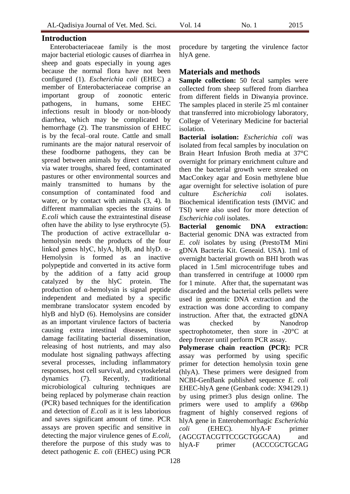### **Introduction**

Enterobacteriaceae family is the most major bacterial etiologic causes of diarrhea in sheep and goats especially in young ages because the normal flora have not been configured (1). *Escherichia coli* (EHEC) a member of Enterobacteriaceae comprise an important group of zoonotic enteric pathogens, in humans, some EHEC infections result in bloody or non-bloody diarrhea, which may be complicated by hemorrhage (2). The transmission of EHEC is by the fecal–oral route. Cattle and small ruminants are the major natural reservoir of these foodborne pathogens, they can be spread between animals by direct contact or via water troughs, shared feed, contaminated pastures or other environmental sources and mainly transmitted to humans by the consumption of contaminated food and water, or by contact with animals (3, 4). In different mammalian species the strains of *E.coli* which cause the extraintestinal disease often have the ability to lyse erythrocyte (5). The production of active extracellular αhemolysin needs the products of the four linked genes hlyC, hlyA, hlyB, and hlyD.  $\alpha$ -Hemolysin is formed as an inactive polypeptide and converted in its active form by the addition of a fatty acid group catalyzed by the hlyC protein. The production of α-hemolysin is signal peptide independent and mediated by a specific membrane translocator system encoded by hlyB and hlyD (6). Hemolysins are consider as an important virulence factors of bacteria causing extra intestinal diseases, tissue damage facilitating bacterial dissemination, releasing of host nutrients, and may also modulate host signaling pathways affecting several processes, including inflammatory responses, host cell survival, and cytoskeletal dynamics (7). Recently, traditional microbiological culturing techniques are being replaced by polymerase chain reaction (PCR) based techniques for the identification and detection of *E.coli* as it is less laborious and saves significant amount of time. PCR assays are proven specific and sensitive in detecting the major virulence genes of *E.coli*, therefore the purpose of this study was to detect pathogenic *E. coli* (EHEC) using PCR

procedure by targeting the virulence factor hlyA gene.

## **Materials and methods**

**Sample collection:** 50 fecal samples were collected from sheep suffered from diarrhea from different fields in Diwanyia province. The samples placed in sterile 25 ml container that transferred into microbiology laboratory, College of Veterinary Medicine for bacterial isolation.

**Bacterial isolation:** *Escherichia coli* was isolated from fecal samples by inoculation on Brain Heart Infusion Broth media at 37°C overnight for primary enrichment culture and then the bacterial growth were streaked on MacConkey agar and Eosin methylene blue agar overnight for selective isolation of pure culture *Escherichia coli* isolates. Biochemical identification tests (IMViC and TSI) were also used for more detection of *Escherichia coli* isolates.

**Bacterial genomic DNA extraction:**  Bacterial genomic DNA was extracted from *E. coli* isolates by using (PrestoTM Mini gDNA Bacteria Kit. Geneaid. USA). 1ml of overnight bacterial growth on BHI broth was placed in 1.5ml microcentrifuge tubes and than transferred in centrifuge at 10000 rpm for 1 minute. After that, the supernatant was discarded and the bacterial cells pellets were used in genomic DNA extraction and the extraction was done according to company instruction. After that, the extracted gDNA was checked by Nanodrop spectrophotometer, then store in -20°C at deep freezer until perform PCR assay.

**Polymerase chain reaction (PCR):** PCR assay was performed by using specific primer for detection hemolysin toxin gene (hlyA). These primers were designed from NCBI-GenBank published sequence *E. coli* EHEC-hlyA gene (Genbank code: X94129.1) by using primer3 plus design online. The primers were used to amplify a 696bp fragment of highly conserved regions of hlyA gene in Enterohemorrhagic *Escherichia coli* (EHEC). hlyA-F primer (AGCGTACGTTCCGCTGGCAA) and hlyA-F primer (ACCCGCTGCAG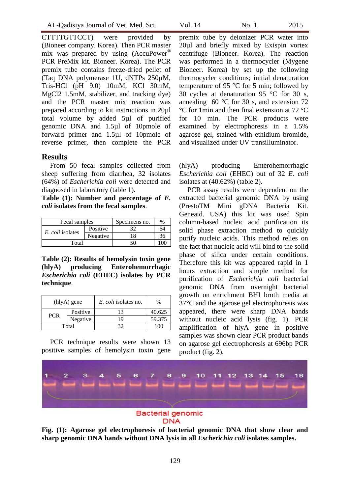CTTTTGTTCCT) were provided by (Bioneer company. Korea). Then PCR master mix was prepared by using (AccuPower<sup>®</sup>) PCR PreMix kit. Bioneer. Korea). The PCR premix tube contains freeze-dried pellet of (Taq DNA polymerase 1U, dNTPs 250µM, Tris-HCl (pH 9.0) 10mM, KCl 30mM, MgCl2 1.5mM, stabilizer, and tracking dye) and the PCR master mix reaction was prepared according to kit instructions in 20µl total volume by added 5µl of purified genomic DNA and 1.5µl of 10pmole of forward primer and 1.5µl of 10pmole of reverse primer, then complete the PCR

### **Results**

From 50 fecal samples collected from sheep suffering from diarrhea, 32 isolates (64%) of *Escherichia coli* were detected and diagnosed in laboratory (table 1).

**Table (1): Number and percentage of** *E. coli* **isolates from the fecal samples**.

| Fecal samples           |          | Specimens no. | $\%$ |
|-------------------------|----------|---------------|------|
| <i>E. coli</i> isolates | Positive |               | 64   |
|                         | Negative | 18            | 36   |
| Total                   |          |               | IM   |

**Table (2): Results of hemolysin toxin gene (hlyA) producing Enterohemorrhagic**  *Escherichia coli* **(EHEC) isolates by PCR technique**.

| $(hlyA)$ gene |          | <i>E. coli</i> isolates no. | $\frac{0}{0}$ |
|---------------|----------|-----------------------------|---------------|
| <b>PCR</b>    | Positive | 13                          | 40.625        |
|               | Negative | 19                          | 59.375        |
|               | Total    |                             | $100 -$       |

PCR technique results were shown 13 positive samples of hemolysin toxin gene

premix tube by deionizer PCR water into 20µl and briefly mixed by Exispin vortex centrifuge (Bioneer. Korea). The reaction was performed in a thermocycler (Mygene Bioneer. Korea) by set up the following thermocycler conditions; initial denaturation temperature of 95 °C for 5 min; followed by 30 cycles at denaturation 95 °C for 30 s, annealing  $60^{\circ}$ C for 30 s, and extension 72 °C for 1min and then final extension at 72 °C for 10 min. The PCR products were examined by electrophoresis in a 1.5% agarose gel, stained with ethidium bromide, and visualized under UV transilluminator.

(hlyA) producing Enterohemorrhagic *Escherichia coli* (EHEC) out of 32 *E. coli* isolates at (40.62%) (table 2).

PCR assay results were dependent on the extracted bacterial genomic DNA by using (PrestoTM Mini gDNA Bacteria Kit. Geneaid. USA) this kit was used Spin column-based nucleic acid purification its solid phase extraction method to quickly purify nucleic acids. This method relies on the fact that nucleic acid will bind to the solid phase of silica under certain conditions. Therefore this kit was appeared rapid in 1 hours extraction and simple method for purification of *Escherichia coli* bacterial genomic DNA from overnight bacterial growth on enrichment BHI broth media at 37°C and the agarose gel electrophoresis was appeared, there were sharp DNA bands without nucleic acid lysis (fig. 1). PCR amplification of hlyA gene in positive samples was shown clear PCR product bands on agarose gel electrophoresis at 696bp PCR product (fig. 2).



**DNA** 

**Fig. (1): Agarose gel electrophoresis of bacterial genomic DNA that show clear and sharp genomic DNA bands without DNA lysis in all** *Escherichia coli* **isolates samples.**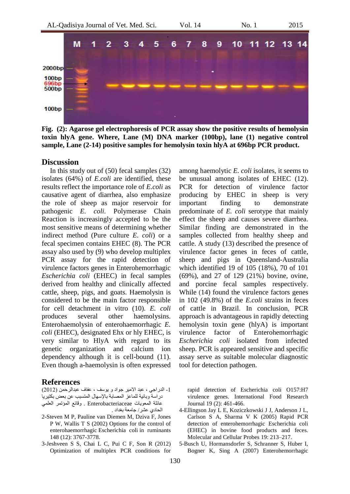

**Fig. (2): Agarose gel electrophoresis of PCR assay show the positive results of hemolysin toxin hlyA gene. Where, Lane (M) DNA marker (100bp), lane (1) negative control sample, Lane (2-14) positive samples for hemolysin toxin hlyA at 696bp PCR product.**

#### **Discussion**

In this study out of (50) fecal samples (32) isolates (64%) of *E.coli* are identified, these results reflect the importance role of *E.coli* as causative agent of diarrhea, also emphasize the role of sheep as major reservoir for pathogenic *E. coli.* Polymerase Chain Reaction is increasingly accepted to be the most sensitive means of determining whether indirect method (Pure culture *E. coli*) or a fecal specimen contains EHEC (8). The PCR assay also used by (9) who develop multiplex PCR assay for the rapid detection of virulence factors genes in Enterohemorrhagic *Escherichia coli* (EHEC) in fecal samples derived from healthy and clinically affected cattle, sheep, pigs, and goats. Haemolysin is considered to be the main factor responsible for cell detachment in vitro (10). *E. coli* produces several other haemolysins. Enterohaemolysin of enterohaemorrhagic *E. coli* (EHEC), designated Ehx or hly EHEC, is very similar to HlyA with regard to its genetic organization and calcium ion dependency although it is cell-bound (11). Even though a-haemolysin is often expressed

#### **References**

1- الدراجي ، عبد الامير جواد و يوسف ، عفاف عبدالرحمن (2012) در اسةً وبائية للماعز المصابة بالإسهال المتسبب عن بعض بكتير يا عائلة المعويات Enterobacteriaceae . وقائع المؤتمر العلمى الحادي عشر / جامعة بغداد .

- 2-Steven M P, Pauline van Diemen M, Dziva F, Jones P W, Wallis T S (2002) Options for the control of enterohaemorrhagic Escherichia coli in ruminants 148 (12): 3767-3778.
- 3-Jeshveen S S, Chai L C, Pui C F, Son R (2012) Optimization of multiplex PCR conditions for

among haemolytic *E. coli* isolates, it seems to be unusual among isolates of EHEC (12). PCR for detection of virulence factor producing by EHEC in sheep is very important finding to demonstrate predominate of *E. coli* serotype that mainly effect the sheep and causes severe diarrhea. Similar finding are demonstrated in the samples collected from healthy sheep and cattle. A study [\(13\)](http://aem.asm.org/content/65/2/868.full#ref-28) described the presence of virulence factor genes in feces of cattle, sheep and pigs in Queensland-Australia which identified 19 of 105 (18%), 70 of 101 (69%), and 27 of 129 (21%) bovine, ovine, and porcine fecal samples respectively. While (14) found the virulence factors genes in 102 (49.8%) of the *E.coli* strains in feces of cattle in Brazil. In conclusion, PCR approach is advantageous in rapidly detecting hemolysin toxin gene (hlyA) is important virulence factor of Enterohemorrhagic *Escherichia coli* isolated from infected sheep. PCR is appeared sensitive and specific assay serve as suitable molecular diagnostic tool for detection pathogen.

rapid detection of Escherichia coli O157:H7 virulence genes. International Food Research Journal 19 (2): 461-466.

- 4-Ellingson Jay L E, Koziczkowski J J, Anderson J L, Carlson S A, Sharma V K (2005) Rapid PCR detection of enterohemorrhagic Escherichia coli (EHEC) in bovine food products and feces. Molecular and Cellular Probes 19: 213–217.
- 5-Busch U, Hormansdorfer S, Schranner S, Huber I, Bogner K, Sing A (2007) Enterohemorrhagic